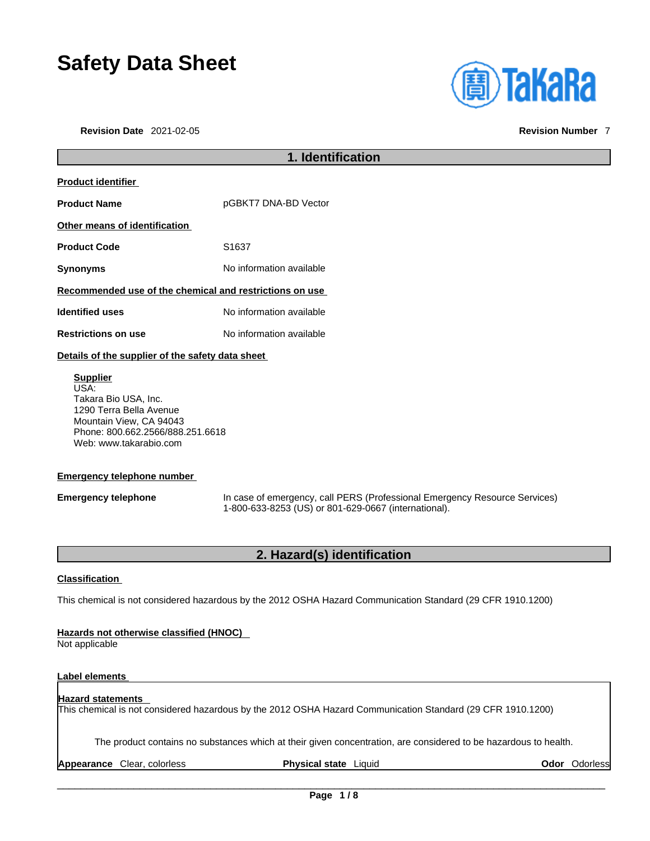# **Safety Data Sheet**

**Revision Date** 2021-02-05 **Revision Number** 7



### **1. Identification Product identifier Product Name pGBKT7 DNA-BD Vector Other means of identification** Product Code S1637 **Synonyms** No information available **Recommended use of the chemical and restrictions on use Identified uses** No information available **Restrictions on use** No information available **Details of the supplier of the safety data sheet Supplier** USA: Takara Bio USA, Inc. 1290 Terra Bella Avenue Mountain View, CA 94043

**Emergency telephone number**

Web: www.takarabio.com

Phone: 800.662.2566/888.251.6618

**Emergency telephone** In case of emergency, call PERS (Professional Emergency Resource Services) 1-800-633-8253 (US) or 801-629-0667 (international).

### **2. Hazard(s) identification**

#### **Classification**

This chemical is not considered hazardous by the 2012 OSHA Hazard Communication Standard (29 CFR 1910.1200)

#### **Hazards not otherwise classified (HNOC)**

Not applicable

#### **Label elements**

#### **Hazard statements**  This chemical is not considered hazardous by the 2012 OSHA Hazard Communication Standard (29 CFR 1910.1200)

The product contains no substances which at their given concentration, are considered to be hazardous to health.

**Appearance** Clear, colorless **Physical state** Liquid **Odor** Odorless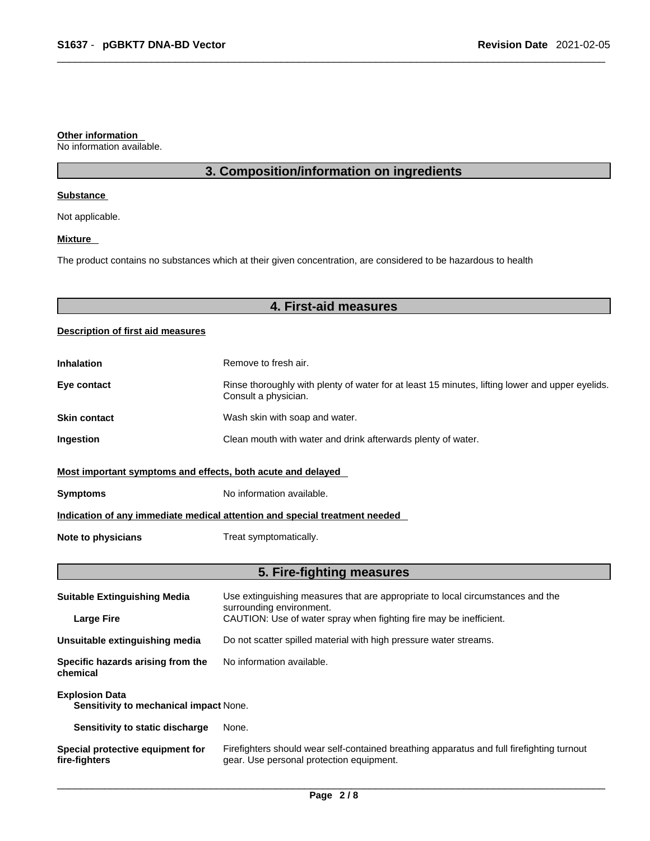#### **Other information**

No information available.

### **3. Composition/information on ingredients**

#### **Substance**

Not applicable.

#### **Mixture**

The product contains no substances which at their given concentration, are considered to be hazardous to health

### **4. First-aid measures**

#### **Description of first aid measures**

| <b>Inhalation</b>                                                          | Remove to fresh air.                                                                                                    |  |
|----------------------------------------------------------------------------|-------------------------------------------------------------------------------------------------------------------------|--|
| Eye contact                                                                | Rinse thoroughly with plenty of water for at least 15 minutes, lifting lower and upper eyelids.<br>Consult a physician. |  |
| <b>Skin contact</b>                                                        | Wash skin with soap and water.                                                                                          |  |
| Ingestion                                                                  | Clean mouth with water and drink afterwards plenty of water.                                                            |  |
| Most important symptoms and effects, both acute and delayed                |                                                                                                                         |  |
| <b>Symptoms</b>                                                            | No information available.                                                                                               |  |
| Indication of any immediate medical attention and special treatment needed |                                                                                                                         |  |
| Note to physicians                                                         | Treat symptomatically.                                                                                                  |  |

### **5. Fire-fighting measures**

| <b>Suitable Extinguishing Media</b>                             | Use extinguishing measures that are appropriate to local circumstances and the<br>surrounding environment.                            |  |
|-----------------------------------------------------------------|---------------------------------------------------------------------------------------------------------------------------------------|--|
| <b>Large Fire</b>                                               | CAUTION: Use of water spray when fighting fire may be inefficient.                                                                    |  |
| Unsuitable extinguishing media                                  | Do not scatter spilled material with high pressure water streams.                                                                     |  |
| Specific hazards arising from the<br>chemical                   | No information available.                                                                                                             |  |
| <b>Explosion Data</b><br>Sensitivity to mechanical impact None. |                                                                                                                                       |  |
| Sensitivity to static discharge                                 | None.                                                                                                                                 |  |
| Special protective equipment for<br>fire-fighters               | Firefighters should wear self-contained breathing apparatus and full firefighting turnout<br>gear. Use personal protection equipment. |  |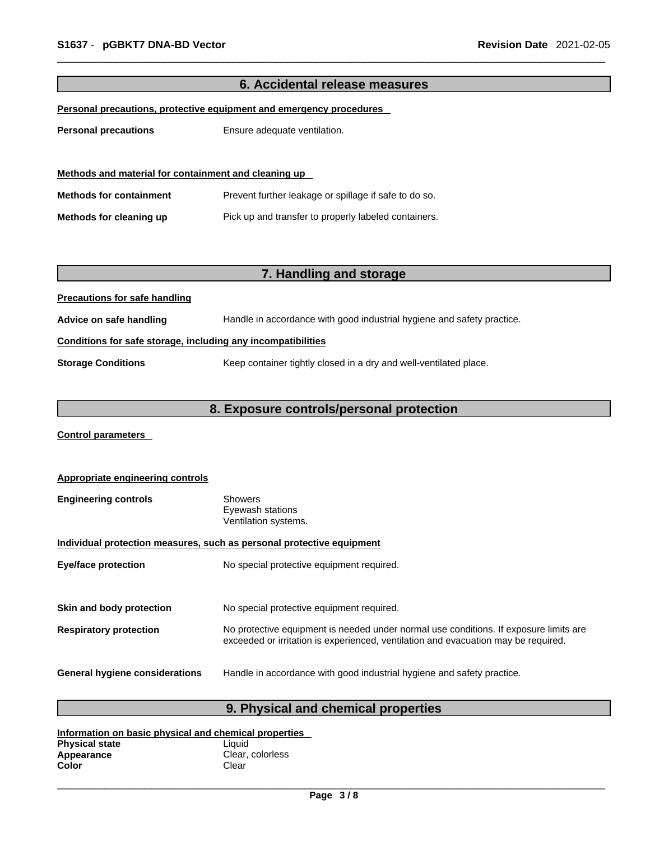| 6. Accidental release measures                                      |                                                                        |  |
|---------------------------------------------------------------------|------------------------------------------------------------------------|--|
| Personal precautions, protective equipment and emergency procedures |                                                                        |  |
| <b>Personal precautions</b>                                         | Ensure adequate ventilation.                                           |  |
|                                                                     |                                                                        |  |
|                                                                     |                                                                        |  |
| Methods and material for containment and cleaning up                |                                                                        |  |
| <b>Methods for containment</b>                                      | Prevent further leakage or spillage if safe to do so.                  |  |
| Methods for cleaning up                                             | Pick up and transfer to properly labeled containers.                   |  |
|                                                                     |                                                                        |  |
|                                                                     |                                                                        |  |
|                                                                     | 7. Handling and storage                                                |  |
| <b>Precautions for safe handling</b>                                |                                                                        |  |
| Advice on safe handling                                             | Handle in accordance with good industrial hygiene and safety practice. |  |
| Conditions for safe storage, including any incompatibilities        |                                                                        |  |
| <b>Storage Conditions</b>                                           | Keep container tightly closed in a dry and well-ventilated place.      |  |
|                                                                     |                                                                        |  |
| 8. Exposure controls/personal protection                            |                                                                        |  |

**Control parameters** 

| Appropriate engineering controls                                      |                                                                                                                                                                             |  |
|-----------------------------------------------------------------------|-----------------------------------------------------------------------------------------------------------------------------------------------------------------------------|--|
| <b>Engineering controls</b>                                           | <b>Showers</b><br>Eyewash stations<br>Ventilation systems.                                                                                                                  |  |
| Individual protection measures, such as personal protective equipment |                                                                                                                                                                             |  |
| <b>Eye/face protection</b>                                            | No special protective equipment required.                                                                                                                                   |  |
|                                                                       |                                                                                                                                                                             |  |
| Skin and body protection                                              | No special protective equipment required.                                                                                                                                   |  |
| <b>Respiratory protection</b>                                         | No protective equipment is needed under normal use conditions. If exposure limits are<br>exceeded or irritation is experienced, ventilation and evacuation may be required. |  |
| <b>General hygiene considerations</b>                                 | Handle in accordance with good industrial hygiene and safety practice.                                                                                                      |  |

## **9. Physical and chemical properties**

| Information on basic physical and chemical properties |                  |  |
|-------------------------------------------------------|------------------|--|
| <b>Physical state</b>                                 | Liauid           |  |
| Appearance                                            | Clear, colorless |  |
| Color                                                 | Clear            |  |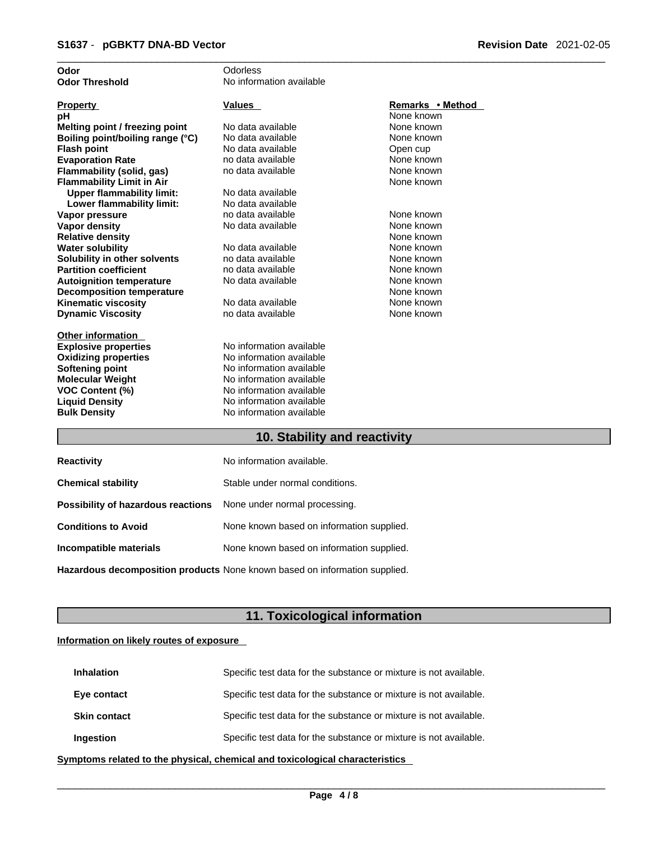| Odor                             | Odorless                 |                  |
|----------------------------------|--------------------------|------------------|
| <b>Odor Threshold</b>            | No information available |                  |
|                                  |                          |                  |
| <b>Property</b>                  | <b>Values</b>            | Remarks • Method |
| рH                               |                          | None known       |
| Melting point / freezing point   | No data available        | None known       |
| Boiling point/boiling range (°C) | No data available        | None known       |
| <b>Flash point</b>               | No data available        | Open cup         |
| <b>Evaporation Rate</b>          | no data available        | None known       |
| Flammability (solid, gas)        | no data available        | None known       |
| <b>Flammability Limit in Air</b> |                          | None known       |
| <b>Upper flammability limit:</b> | No data available        |                  |
| Lower flammability limit:        | No data available        |                  |
| Vapor pressure                   | no data available        | None known       |
| <b>Vapor density</b>             | No data available        | None known       |
| <b>Relative density</b>          |                          | None known       |
| <b>Water solubility</b>          | No data available        | None known       |
| Solubility in other solvents     | no data available        | None known       |
| <b>Partition coefficient</b>     | no data available        | None known       |
| <b>Autoignition temperature</b>  | No data available        | None known       |
| <b>Decomposition temperature</b> |                          | None known       |
| <b>Kinematic viscosity</b>       | No data available        | None known       |
| <b>Dynamic Viscosity</b>         | no data available        | None known       |
|                                  |                          |                  |
| <b>Other information</b>         |                          |                  |
| <b>Explosive properties</b>      | No information available |                  |
| <b>Oxidizing properties</b>      | No information available |                  |
| <b>Softening point</b>           | No information available |                  |
| <b>Molecular Weight</b>          | No information available |                  |
| <b>VOC Content (%)</b>           | No information available |                  |
| <b>Liquid Density</b>            | No information available |                  |
| <b>Bulk Density</b>              | No information available |                  |
|                                  | .                        |                  |

#### **10. Stability and reactivity**

| <b>Reactivity</b>                                                       | No information available.                 |
|-------------------------------------------------------------------------|-------------------------------------------|
| <b>Chemical stability</b>                                               | Stable under normal conditions.           |
| <b>Possibility of hazardous reactions</b> None under normal processing. |                                           |
| <b>Conditions to Avoid</b>                                              | None known based on information supplied. |
| Incompatible materials                                                  | None known based on information supplied. |
|                                                                         |                                           |

**Hazardous decomposition products** None known based on information supplied.

### **11. Toxicological information**

#### **Information on likely routes of exposure**

| <b>Inhalation</b>   | Specific test data for the substance or mixture is not available. |
|---------------------|-------------------------------------------------------------------|
| Eye contact         | Specific test data for the substance or mixture is not available. |
| <b>Skin contact</b> | Specific test data for the substance or mixture is not available. |
| Ingestion           | Specific test data for the substance or mixture is not available. |

**<u>Symptoms related to the physical, chemical and toxicological characteristics</u>**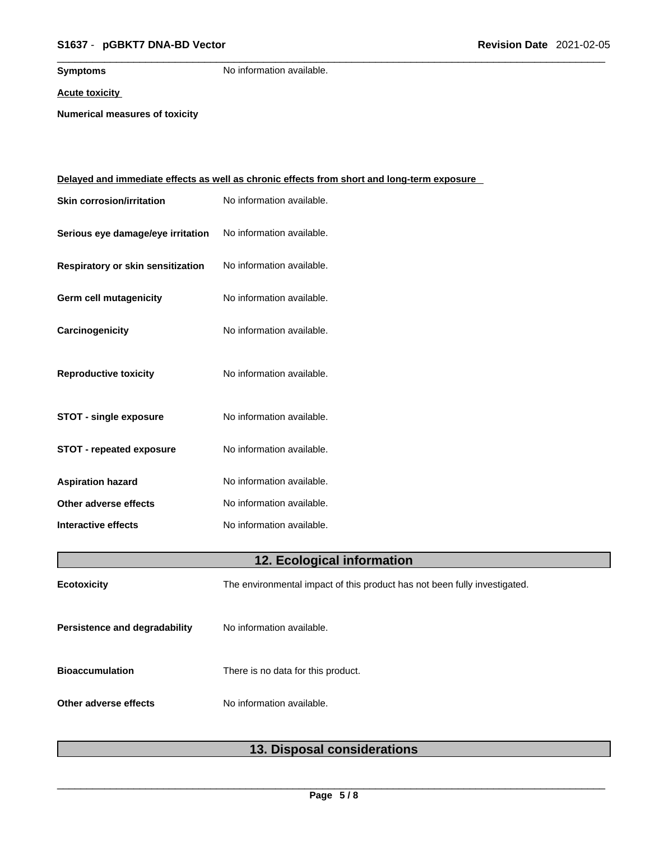### \_\_\_\_\_\_\_\_\_\_\_\_\_\_\_\_\_\_\_\_\_\_\_\_\_\_\_\_\_\_\_\_\_\_\_\_\_\_\_\_\_\_\_\_\_\_\_\_\_\_\_\_\_\_\_\_\_\_\_\_\_\_\_\_\_\_\_\_\_\_\_\_\_\_\_\_\_\_\_\_\_\_\_\_\_\_\_\_\_\_\_\_\_ **S1637** - **pGBKT7 DNA-BD Vector Revision Date** 2021-02-05

**Symptoms** No information available.

**Acute toxicity**

**Numerical measures of toxicity**

|                                   | <u>Delayed and immediate effects as well as chronic effects from short and long-term exposure</u> |  |
|-----------------------------------|---------------------------------------------------------------------------------------------------|--|
| <b>Skin corrosion/irritation</b>  | No information available.                                                                         |  |
| Serious eye damage/eye irritation | No information available.                                                                         |  |
| Respiratory or skin sensitization | No information available.                                                                         |  |
| Germ cell mutagenicity            | No information available.                                                                         |  |
| Carcinogenicity                   | No information available.                                                                         |  |
| <b>Reproductive toxicity</b>      | No information available.                                                                         |  |
| <b>STOT - single exposure</b>     | No information available.                                                                         |  |
| <b>STOT - repeated exposure</b>   | No information available.                                                                         |  |
| <b>Aspiration hazard</b>          | No information available.                                                                         |  |
| Other adverse effects             | No information available.                                                                         |  |
| <b>Interactive effects</b>        | No information available.                                                                         |  |
| 12. Ecological information        |                                                                                                   |  |
| <b>Ecotoxicity</b>                | The environmental impact of this product has not been fully investigated.                         |  |
| Persistence and degradability     | No information available.                                                                         |  |
| <b>Bioaccumulation</b>            | There is no data for this product.                                                                |  |
| Other adverse effects             | No information available.                                                                         |  |
|                                   |                                                                                                   |  |

|  | 13. Disposal considerations |
|--|-----------------------------|
|--|-----------------------------|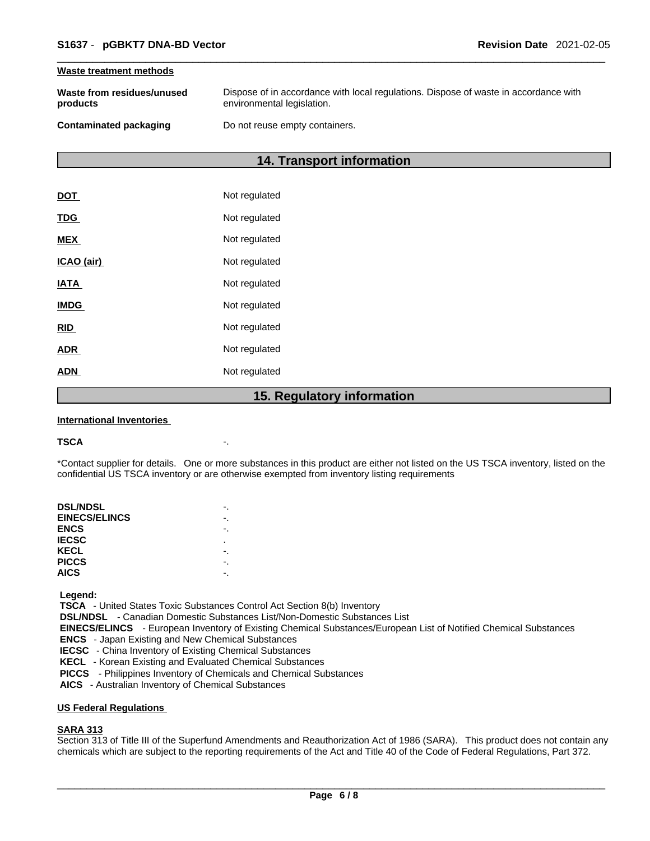#### **Waste treatment methods**

| Waste from residues/unused | Dispose of in accordance with local regulations. Dispose of waste in accordance with |
|----------------------------|--------------------------------------------------------------------------------------|
| products                   | environmental legislation.                                                           |
| Contaminated packaging     | Do not reuse empty containers.                                                       |

### **14. Transport information**

|             | 1 F<br><b>Dogulator</b> |
|-------------|-------------------------|
| <b>ADN</b>  | Not regulated           |
| <b>ADR</b>  | Not regulated           |
| <b>RID</b>  | Not regulated           |
| <b>IMDG</b> | Not regulated           |
| <b>IATA</b> | Not regulated           |
| ICAO (air)  | Not regulated           |
| <b>MEX</b>  | Not regulated           |
| <b>TDG</b>  | Not regulated           |
| DOT         | Not regulated           |

#### **15. Regulatory information**

#### **International Inventories**

#### **TSCA** -.

\*Contact supplier for details. One or more substances in this product are either not listed on the US TSCA inventory, listed on the confidential US TSCA inventory or are otherwise exempted from inventory listing requirements

| <b>DSL/NDSL</b>      |   |
|----------------------|---|
| <b>EINECS/ELINCS</b> |   |
| <b>ENCS</b>          |   |
| <b>IECSC</b>         | ٠ |
| KECL                 |   |
| <b>PICCS</b>         |   |
| <b>AICS</b>          |   |
|                      |   |

 **Legend:** 

 **TSCA** - United States Toxic Substances Control Act Section 8(b) Inventory

 **DSL/NDSL** - Canadian Domestic Substances List/Non-Domestic Substances List

 **EINECS/ELINCS** - European Inventory of Existing Chemical Substances/European List of Notified Chemical Substances

 **ENCS** - Japan Existing and New Chemical Substances

 **IECSC** - China Inventory of Existing Chemical Substances

 **KECL** - Korean Existing and Evaluated Chemical Substances

 **PICCS** - Philippines Inventory of Chemicals and Chemical Substances

 **AICS** - Australian Inventory of Chemical Substances

#### **US Federal Regulations**

#### **SARA 313**

Section 313 of Title III of the Superfund Amendments and Reauthorization Act of 1986 (SARA). This product does not contain any chemicals which are subject to the reporting requirements of the Act and Title 40 of the Code of Federal Regulations, Part 372.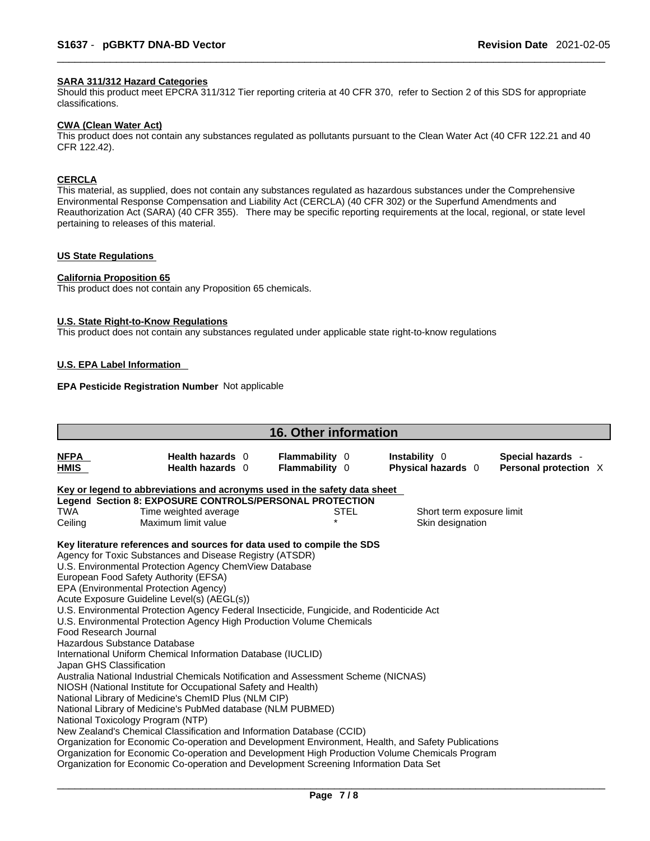#### **SARA 311/312 Hazard Categories**

Should this product meet EPCRA 311/312 Tier reporting criteria at 40 CFR 370, refer to Section 2 of this SDS for appropriate classifications.

#### **CWA (Clean WaterAct)**

This product does not contain any substances regulated as pollutants pursuant to the Clean Water Act (40 CFR 122.21 and 40 CFR 122.42).

### **CERCLA**

This material, as supplied, does not contain any substances regulated as hazardous substances under the Comprehensive Environmental Response Compensation and Liability Act (CERCLA) (40 CFR 302) or the Superfund Amendments and Reauthorization Act (SARA) (40 CFR 355). There may be specific reporting requirements at the local, regional, or state level pertaining to releases of this material.

#### **US State Regulations**

#### **California Proposition 65**

This product does not contain any Proposition 65 chemicals.

#### **U.S. State Right-to-Know Regulations**

This product does not contain any substances regulated under applicable state right-to-know regulations

#### **U.S. EPA Label Information**

#### **EPA Pesticide Registration Number** Not applicable

| <b>16. Other information</b>                                                      |                                                                                                                                                                                                                                                                                                                                                                                                                                                                                                                                                                                                                                                                                                                                                                                                                                                                                                                                                                                                                                                                                                                                                                                                                                                                    |                                         |      |                                            |  |                                            |  |  |
|-----------------------------------------------------------------------------------|--------------------------------------------------------------------------------------------------------------------------------------------------------------------------------------------------------------------------------------------------------------------------------------------------------------------------------------------------------------------------------------------------------------------------------------------------------------------------------------------------------------------------------------------------------------------------------------------------------------------------------------------------------------------------------------------------------------------------------------------------------------------------------------------------------------------------------------------------------------------------------------------------------------------------------------------------------------------------------------------------------------------------------------------------------------------------------------------------------------------------------------------------------------------------------------------------------------------------------------------------------------------|-----------------------------------------|------|--------------------------------------------|--|--------------------------------------------|--|--|
| <b>NFPA</b><br>HMIS                                                               | Health hazards 0<br>Health hazards 0                                                                                                                                                                                                                                                                                                                                                                                                                                                                                                                                                                                                                                                                                                                                                                                                                                                                                                                                                                                                                                                                                                                                                                                                                               | <b>Flammability 0</b><br>Flammability 0 |      | <b>Instability</b> 0<br>Physical hazards 0 |  | Special hazards -<br>Personal protection X |  |  |
| Key or legend to abbreviations and acronyms used in the safety data sheet         |                                                                                                                                                                                                                                                                                                                                                                                                                                                                                                                                                                                                                                                                                                                                                                                                                                                                                                                                                                                                                                                                                                                                                                                                                                                                    |                                         |      |                                            |  |                                            |  |  |
|                                                                                   | Legend Section 8: EXPOSURE CONTROLS/PERSONAL PROTECTION                                                                                                                                                                                                                                                                                                                                                                                                                                                                                                                                                                                                                                                                                                                                                                                                                                                                                                                                                                                                                                                                                                                                                                                                            |                                         |      |                                            |  |                                            |  |  |
| TWA                                                                               | Time weighted average                                                                                                                                                                                                                                                                                                                                                                                                                                                                                                                                                                                                                                                                                                                                                                                                                                                                                                                                                                                                                                                                                                                                                                                                                                              |                                         | STEL | Short term exposure limit                  |  |                                            |  |  |
| Ceiling                                                                           | Maximum limit value                                                                                                                                                                                                                                                                                                                                                                                                                                                                                                                                                                                                                                                                                                                                                                                                                                                                                                                                                                                                                                                                                                                                                                                                                                                |                                         |      | Skin designation                           |  |                                            |  |  |
| Food Research Journal<br>Hazardous Substance Database<br>Japan GHS Classification | Key literature references and sources for data used to compile the SDS<br>Agency for Toxic Substances and Disease Registry (ATSDR)<br>U.S. Environmental Protection Agency ChemView Database<br>European Food Safety Authority (EFSA)<br>EPA (Environmental Protection Agency)<br>Acute Exposure Guideline Level(s) (AEGL(s))<br>U.S. Environmental Protection Agency Federal Insecticide, Fungicide, and Rodenticide Act<br>U.S. Environmental Protection Agency High Production Volume Chemicals<br>International Uniform Chemical Information Database (IUCLID)<br>Australia National Industrial Chemicals Notification and Assessment Scheme (NICNAS)<br>NIOSH (National Institute for Occupational Safety and Health)<br>National Library of Medicine's ChemID Plus (NLM CIP)<br>National Library of Medicine's PubMed database (NLM PUBMED)<br>National Toxicology Program (NTP)<br>New Zealand's Chemical Classification and Information Database (CCID)<br>Organization for Economic Co-operation and Development Environment, Health, and Safety Publications<br>Organization for Economic Co-operation and Development High Production Volume Chemicals Program<br>Organization for Economic Co-operation and Development Screening Information Data Set |                                         |      |                                            |  |                                            |  |  |